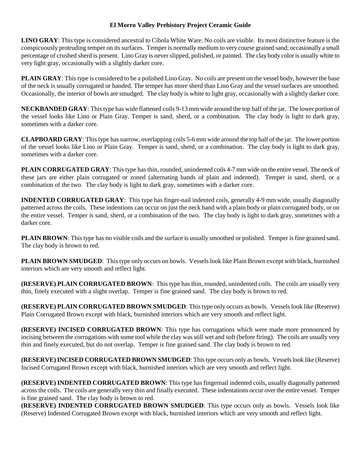#### **El Morro Valley Prehistory Project Ceramic Guide**

**LINO GRAY**: This type is considered ancestral to Cibola White Ware. No coils are visible. Its most distinctive feature is the conspicuously protruding temper on its surfaces. Temper is normally medium to very course grained sand; occasionally a small percentage of crushed sherd is present. Lino Gray is never slipped, polished, or painted. The clay body color is usually white to very light gray, occasionally with a slightly darker core.

**PLAIN GRAY**: This type is considered to be a polished Lino Gray. No coils are present on the vessel body, however the base of the neck is usually corrugated or banded. The temper has more sherd than Lino Gray and the vessel surfaces are smoothed. Occasionally, the interior of bowls are smudged. The clay body is white to light gray, occasionally with a slightly darker core.

**NECKBANDED GRAY**: This type has wide flattened coils 9-13 mm wide around the top half of the jar. The lower portion of the vessel looks like Lino or Plain Gray. Temper is sand, sherd, or a combination. The clay body is light to dark gray, sometimes with a darker core.

**CLAPBOARD GRAY**: This type has narrow, overlapping coils 5-6 mm wide around the top half of the jar. The lower portion of the vessel looks like Lino or Plain Gray. Temper is sand, sherd, or a combination. The clay body is light to dark gray, sometimes with a darker core.

**PLAIN CORRUGATED GRAY**: This type has thin, rounded, unindented coils 4-7 mm wide on the entire vessel. The neck of these jars are either plain corrugated or zoned (alternating bands of plain and indented). Temper is sand, sherd, or a combination of the two. The clay body is light to dark gray, sometimes with a darker core.

**INDENTED CORRUGATED GRAY**: This type has finger-nail indented coils, generally 4-9 mm wide, usually diagonally patterned across the coils. These indentions can occur on just the neck band with a plain body or plain corrugated body, or on the entire vessel. Temper is sand, sherd, or a combination of the two. The clay body is light to dark gray, sometimes with a darker core.

**PLAIN BROWN:** This type has no visible coils and the surface is usually smoothed or polished. Temper is fine grained sand. The clay body is brown to red.

**PLAIN BROWN SMUDGED**: This type only occurs on bowls. Vessels look like Plain Brown except with black, burnished interiors which are very smooth and reflect light.

**(RESERVE) PLAIN CORRUGATED BROWN**: This type has thin, rounded, unindented coils. The coils are usually very thin, finely executed with a slight overlap. Temper is fine grained sand. The clay body is brown to red.

**(RESERVE) PLAIN CORRUGATED BROWN SMUDGED**: This type only occurs as bowls. Vessels look like (Reserve) Plain Corrugated Brown except with black, burnished interiors which are very smooth and reflect light.

**(RESERVE) INCISED CORRUGATED BROWN**: This type has corrugations which were made more pronounced by incising between the corrugations with some tool while the clay was still wet and soft (before firing). The coils are usually very thin and finely executed, but do not overlap. Temper is fine grained sand. The clay body is brown to red.

**(RESERVE) INCISED CORRUGATED BROWN SMUDGED**: This type occurs only as bowls. Vessels look like (Reserve) Incised Corrugated Brown except with black, burnished interiors which are very smooth and reflect light.

**(RESERVE) INDENTED CORRUGATED BROWN**: This type has fingernail indented coils, usually diagonally patterned across the coils. The coils are generally very thin and finally executed. These indentations occur over the entire vessel. Temper is fine grained sand. The clay body is brown to red.

**(RESERVE) INDENTED CORRUGATED BROWN SMUDGED**: This type occurs only as bowls. Vessels look like (Reserve) Indented Corrugated Brown except with black, burnished interiors which are very smooth and reflect light.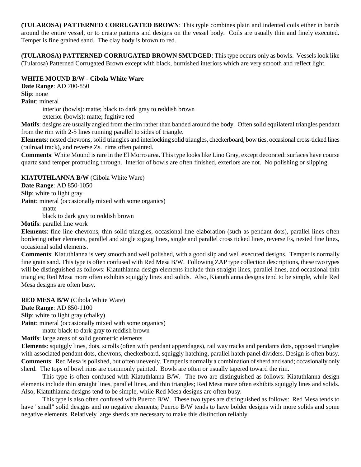**(TULAROSA) PATTERNED CORRUGATED BROWN**: This typle combines plain and indented coils either in bands around the entire vessel, or to create patterns and designs on the vessel body. Coils are usually thin and finely executed. Temper is fine grained sand. The clay body is brown to red.

**(TULAROSA) PATTERNED CORRUGATED BROWN SMUDGED**: This type occurs only as bowls. Vessels look like (Tularosa) Patterned Corrugated Brown except with black, burnished interiors which are very smooth and reflect light.

# **WHITE MOUND B/W - Cibola White Ware**

**Date Range**: AD 700-850 **Slip**: none

**Paint**: mineral

interior (bowls): matte; black to dark gray to reddish brown

exterior (bowls): matte; fugitive red

**Motifs**: designs are usually angled from the rim rather than banded around the body. Often solid equilateral triangles pendant from the rim with 2-5 lines running parallel to sides of triangle.

**Elements**: nested chevrons, solid triangles and interlocking solid triangles, checkerboard, bow ties, occasional cross-ticked lines (railroad track), and reverse Zs. rims often painted.

**Comments**: White Mound is rare in the El Morro area. This type looks like Lino Gray, except decorated: surfaces have course quartz sand temper protruding through. Interior of bowls are often finished, exteriors are not. No polishing or slipping.

**KIATUTHLANNA B/W** (Cibola White Ware)

**Date Range**: AD 850-1050

**Slip**: white to light gray

**Paint:** mineral (occasionally mixed with some organics)

matte

black to dark gray to reddish brown

**Motifs**: parallel line work

**Elements**: fine line chevrons, thin solid triangles, occasional line elaboration (such as pendant dots), parallel lines often bordering other elements, parallel and single zigzag lines, single and parallel cross ticked lines, reverse Fs, nested fine lines, occasional solid elements.

**Comments**: Kiatuthlanna is very smooth and well polished, with a good slip and well executed designs. Temper is normally fine grain sand. This type is often confused with Red Mesa B/W. Following ZAP type collection descriptions, these two types will be distinguished as follows: Kiatuthlanna design elements include thin straight lines, parallel lines, and occasional thin triangles; Red Mesa more often exhibits squiggly lines and solids. Also, Kiatuthlanna designs tend to be simple, while Red Mesa designs are often busy.

**RED MESA B/W** (Cibola White Ware) **Date Range**: AD 850-1100

**Slip**: white to light gray (chalky)

**Paint:** mineral (occasionally mixed with some organics)

matte black to dark gray to reddish brown

**Motifs**: large areas of solid geometric elements

**Elements**: squiggly lines, dots, scrolls (often with pendant appendages), rail way tracks and pendants dots, opposed triangles with associated pendant dots, chevrons, checkerboard, squiggly hatching, parallel hatch panel dividers. Design is often busy. **Comments**: Red Mesa is polished, but often unevenly. Temper is normally a combination of sherd and sand; occasionally only sherd. The tops of bowl rims are commonly painted. Bowls are often or usually tapered toward the rim.

This type is often confused with Kiatuthlanna B/W. The two are distinguished as follows: Kiatuthlanna design elements include thin straight lines, parallel lines, and thin triangles; Red Mesa more often exhibits squiggly lines and solids. Also, Kiatuthlanna designs tend to be simple, while Red Mesa designs are often busy.

This type is also often confused with Puerco B/W. These two types are distinguished as follows: Red Mesa tends to have "small" solid designs and no negative elements; Puerco B/W tends to have bolder designs with more solids and some negative elements. Relatively large sherds are necessary to make this distinction reliably.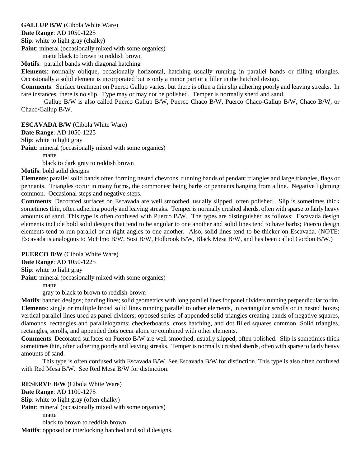**GALLUP B/W** (Cibola White Ware)

**Date Range**: AD 1050-1225

**Slip**: white to light gray (chalky)

**Paint:** mineral (occasionally mixed with some organics)

matte black to brown to reddish brown

**Motifs**: parallel bands with diagonal hatching

**Elements**: normally oblique, occasionally horizontal, hatching usually running in parallel bands or filling triangles. Occasionally a solid element is incorporated but is only a minor part or a filler in the hatched design.

**Comments**: Surface treatment on Puerco Gallup varies, but there is often a thin slip adhering poorly and leaving streaks. In rare instances, there is no slip. Type may or may not be polished. Temper is normally sherd and sand.

 Gallup B/W is also called Puerco Gallup B/W, Puerco Chaco B/W, Puerco Chaco-Gallup B/W, Chaco B/W, or Chaco/Gallup B/W.

**ESCAVADA B/W** (Cibola White Ware)

**Date Range**: AD 1050-1225

**Slip**: white to light gray

**Paint:** mineral (occasionally mixed with some organics)

matte

black to dark gray to reddish brown

**Motifs**: bold solid designs

**Elements**: parallel solid bands often forming nested chevrons, running bands of pendant triangles and large triangles, flags or pennants. Triangles occur in many forms, the commonest being barbs or pennants hanging from a line. Negative lightning common. Occasional steps and negative steps.

**Comments**: Decorated surfaces on Escavada are well smoothed, usually slipped, often polished. Slip is sometimes thick sometimes thin, often adhering poorly and leaving streaks. Temper is normally crushed sherds, often with sparse to fairly heavy amounts of sand. This type is often confused with Puerco B/W. The types are distinguished as follows: Escavada design elements include bold solid designs that tend to be angular to one another and solid lines tend to have barbs; Puerco design elements tend to run parallel or at right angles to one another. Also, solid lines tend to be thicker on Escavada. (NOTE: Escavada is analogous to McElmo B/W, Sosi B/W, Holbrook B/W, Black Mesa B/W, and has been called Gordon B/W.)

**PUERCO B/W** (Cibola White Ware)

**Date Range**: AD 1050-1225

**Slip**: white to light gray

**Paint:** mineral (occasionally mixed with some organics)

matte

gray to black to brown to reddish-brown

**Motifs**: banded designs; banding lines; solid geometrics with long parallel lines for panel dividers running perpendicular to rim. **Elements**: single or multiple broad solid lines running parallel to other elements, in rectangular scrolls or in nested boxes; vertical parallel lines used as panel dividers; opposed series of appended solid triangles creating bands of negative squares, diamonds, rectangles and parallelograms; checkerboards, cross hatching, and dot filled squares common. Solid triangles, rectangles, scrolls, and appended dots occur alone or combined with other elements.

**Comments**: Decorated surfaces on Puerco B/W are well smoothed, usually slipped, often polished. Slip is sometimes thick sometimes thin, often adhering poorly and leaving streaks. Temper is normally crushed sherds, often with sparse to fairly heavy amounts of sand.

This type is often confused with Escavada B/W. See Escavada B/W for distinction. This type is also often confused with Red Mesa B/W. See Red Mesa B/W for distinction.

**RESERVE B/W** (Cibola White Ware) **Date Range**: AD 1100-1275 **Slip**: white to light gray (often chalky) **Paint:** mineral (occasionally mixed with some organics) matte black to brown to reddish brown **Motifs**: opposed or interlocking hatched and solid designs.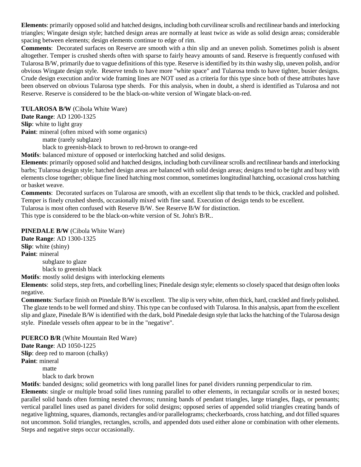**Elements**: primarily opposed solid and hatched designs, including both curvilinear scrolls and rectilinear bands and interlocking triangles; Wingate design style; hatched design areas are normally at least twice as wide as solid design areas; considerable spacing between elements; design elements continue to edge of rim.

**Comments**: Decorated surfaces on Reserve are smooth with a thin slip and an uneven polish. Sometimes polish is absent altogether. Temper is crushed sherds often with sparse to fairly heavy amounts of sand. Reserve is frequently confused with Tularosa B/W, primarily due to vague definitions of this type. Reserve is identified by its thin washy slip, uneven polish, and/or obvious Wingate design style. Reserve tends to have more "white space" and Tularosa tends to have tighter, busier designs. Crude design execution and/or wide framing lines are NOT used as a criteria for this type since both of these attributes have been observed on obvious Tularosa type sherds. For this analysis, when in doubt, a sherd is identified as Tularosa and not Reserve. Reserve is considered to be the black-on-white version of Wingate black-on-red.

**TULAROSA B/W** (Cibola White Ware) **Date Range**: AD 1200-1325 **Slip**: white to light gray Paint: mineral (often mixed with some organics) matte (rarely subglaze)

black to greenish-black to brown to red-brown to orange-red

**Motifs**: balanced mixture of opposed or interlocking hatched and solid designs.

**Elements**: primarily opposed solid and hatched designs, including both curvilinear scrolls and rectilinear bands and interlocking barbs; Tularosa design style; hatched design areas are balanced with solid design areas; designs tend to be tight and busy with elements close together; oblique fine lined hatching most common, sometimes longitudinal hatching, occasional cross hatching or basket weave.

**Comments**: Decorated surfaces on Tularosa are smooth, with an excellent slip that tends to be thick, crackled and polished. Temper is finely crushed sherds, occasionally mixed with fine sand. Execution of design tends to be excellent.

Tularosa is most often confused with Reserve B/W. See Reserve B/W for distinction.

This type is considered to be the black-on-white version of St. John's B/R..

**PINEDALE B/W** (Cibola White Ware)

**Date Range**: AD 1300-1325 **Slip**: white (shiny) **Paint**: mineral subglaze to glaze black to greenish black

**Motifs**: mostly solid designs with interlocking elements

**Elements**: solid steps, step frets, and corbelling lines; Pinedale design style; elements so closely spaced that design often looks negative.

**Comments**: Surface finish on Pinedale B/W is excellent. The slip is very white, often thick, hard, crackled and finely polished. The glaze tends to be well formed and shiny. This type can be confused with Tularosa. In this analysis, apart from the excellent slip and glaze, Pinedale B/W is identified with the dark, bold Pinedale design style that lacks the hatching of the Tularosa design style. Pinedale vessels often appear to be in the "negative".

**PUERCO B/R** (White Mountain Red Ware)

**Date Range**: AD 1050-1225 **Slip**: deep red to maroon (chalky) **Paint**: mineral matte

black to dark brown

**Motifs**: banded designs; solid geometrics with long parallel lines for panel dividers running perpendicular to rim.

**Elements**: single or multiple broad solid lines running parallel to other elements, in rectangular scrolls or in nested boxes; parallel solid bands often forming nested chevrons; running bands of pendant triangles, large triangles, flags, or pennants; vertical parallel lines used as panel dividers for solid designs; opposed series of appended solid triangles creating bands of negative lightning, squares, diamonds, rectangles and/or parallelograms; checkerboards, cross hatching, and dot filled squares not uncommon. Solid triangles, rectangles, scrolls, and appended dots used either alone or combination with other elements. Steps and negative steps occur occasionally.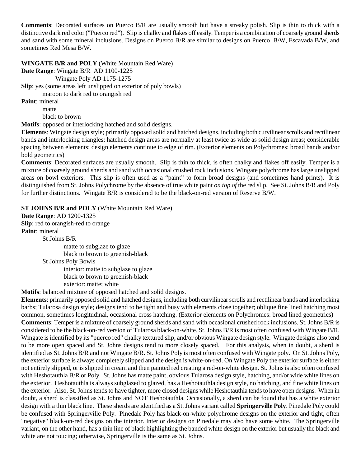**Comments**: Decorated surfaces on Puerco B/R are usually smooth but have a streaky polish. Slip is thin to thick with a distinctive dark red color ("Puerco red"). Slip is chalky and flakes off easily. Temper is a combination of coarsely ground sherds and sand with some mineral inclusions. Designs on Puerco B/R are similar to designs on Puerco B/W, Escavada B/W, and sometimes Red Mesa B/W.

**WINGATE B/R and POLY** (White Mountain Red Ware)

**Date Range**: Wingate B/R AD 1100-1225

Wingate Poly AD 1175-1275

**Slip**: yes (some areas left unslipped on exterior of poly bowls)

maroon to dark red to orangish red

**Paint**: mineral

matte black to brown

**Motifs**: opposed or interlocking hatched and solid designs.

**Elements**: Wingate design style; primarily opposed solid and hatched designs, including both curvilinear scrolls and rectilinear bands and interlocking triangles; hatched design areas are normally at least twice as wide as solid design areas; considerable spacing between elements; design elements continue to edge of rim. (Exterior elements on Polychromes: broad bands and/or bold geometrics)

**Comments**: Decorated surfaces are usually smooth. Slip is thin to thick, is often chalky and flakes off easily. Temper is a mixture of coarsely ground sherds and sand with occasional crushed rock inclusions. Wingate polychrome has large unslipped areas on bowl exteriors. This slip is often used as a "paint" to form broad designs (and sometimes hand prints). It is distinguished from St. Johns Polychrome by the absence of true white paint *on top of* the red slip. See St. Johns B/R and Poly for further distinctions. Wingate B/R is considered to be the black-on-red version of Reserve B/W.

**ST JOHNS B/R and POLY** (White Mountain Red Ware)

**Date Range**: AD 1200-1325

**Slip**: red to orangish-red to orange **Paint**: mineral

St Johns B/R

matte to subglaze to glaze black to brown to greenish-black

St Johns Poly Bowls

interior: matte to subglaze to glaze black to brown to greenish-black exterior: matte; white

**Motifs**: balanced mixture of opposed hatched and solid designs.

**Elements**: primarily opposed solid and hatched designs, including both curvilinear scrolls and rectilinear bands and interlocking barbs; Tularosa design style; designs tend to be tight and busy with elements close together; oblique fine lined hatching most common, sometimes longitudinal, occasional cross hatching. (Exterior elements on Polychromes: broad lined geometrics) **Comments**: Temper is a mixture of coarsely ground sherds and sand with occasional crushed rock inclusions. St. Johns B/R is considered to be the black-on-red version of Tularosa black-on-white. St. Johns B/R is most often confused with Wingate B/R. Wingate is identified by its "puerco red" chalky textured slip, and/or obvious Wingate design style. Wingate designs also tend to be more open spaced and St. Johns designs tend to more closely spaced. For this analysis, when in doubt, a sherd is identified as St. Johns B/R and not Wingate B/R. St. Johns Poly is most often confused with Wingate poly. On St. Johns Poly, the exterior surface is always completely slipped and the design is white-on-red. On Wingate Poly the exterior surface is either not entirely slipped, or is slipped in cream and then painted red creating a red-on-white design. St. Johns is also often confused with Heshotauthla B/R or Poly. St. Johns has matte paint, obvious Tularosa design style, hatching, and/or wide white lines on the exterior. Heshotauthla is always subglazed to glazed, has a Heshotauthla design style, no hatching, and fine white lines on the exterior. Also, St. Johns tends to have tighter, more closed designs while Heshotauthla tends to have open designs. When in doubt, a sherd is classified as St. Johns and NOT Heshotauthla. Occasionally, a sherd can be found that has a white exterior design with a thin black line. These sherds are identified as a St. Johns variant called **Springerville Poly**. Pinedale Poly could be confused with Springerville Poly. Pinedale Poly has black-on-white polychrome designs on the exterior and tight, often "negative" black-on-red designs on the interior. Interior designs on Pinedale may also have some white. The Springerville variant, on the other hand, has a thin line of black highlighting the banded white design on the exterior but usually the black and white are not toucing; otherwise, Springerville is the same as St. Johns.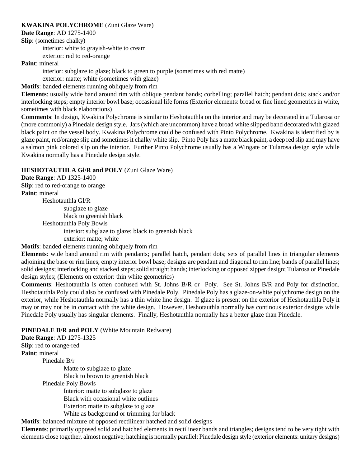### **KWAKINA POLYCHROME** (Zuni Glaze Ware)

**Date Range**: AD 1275-1400

**Slip**: (sometimes chalky)

interior: white to grayish-white to cream exterior: red to red-orange

**Paint**: mineral

interior: subglaze to glaze; black to green to purple (sometimes with red matte)

exterior: matte; white (sometimes with glaze)

**Motifs**: banded elements running obliquely from rim

**Elements**: usually wide band around rim with oblique pendant bands; corbelling; parallel hatch; pendant dots; stack and/or interlocking steps; empty interior bowl base; occasional life forms (Exterior elements: broad or fine lined geometrics in white, sometimes with black elaborations)

**Comments**: In design, Kwakina Polychrome is similar to Heshotauthla on the interior and may be decorated in a Tularosa or (more commonly) a Pinedale design style. Jars (which are uncommon) have a broad white slipped band decorated with glazed black paint on the vessel body. Kwakina Polychrome could be confused with Pinto Polychrome. Kwakina is identified by is glaze paint, red/orange slip and sometimes it chalky white slip. Pinto Poly has a matte black paint, a deep red slip and may have a salmon pink colored slip on the interior. Further Pinto Polychrome usually has a Wingate or Tularosa design style while Kwakina normally has a Pinedale design style.

# **HESHOTAUTHLA Gl/R and POLY** (Zuni Glaze Ware)

**Date Range**: AD 1325-1400 **Slip**: red to red-orange to orange **Paint**: mineral Heshotauthla Gl/R subglaze to glaze black to greenish black Heshotauthla Poly Bowls interior: subglaze to glaze; black to greenish black exterior: matte; white

**Motifs**: banded elements running obliquely from rim

**Elements**: wide band around rim with pendants; parallel hatch, pendant dots; sets of parallel lines in triangular elements adjoining the base or rim lines; empty interior bowl base; designs are pendant and diagonal to rim line; bands of parallel lines; solid designs; interlocking and stacked steps; solid straight bands; interlocking or opposed zipper design; Tularosa or Pinedale design styles; (Elements on exterior: thin white geometrics)

**Comments**: Heshotauthla is often confused with St. Johns B/R or Poly. See St. Johns B/R and Poly for distinction. Heshotauthla Poly could also be confused with Pinedale Poly. Pinedale Poly has a glaze-on-white polychrome design on the exterior, while Heshotauthla normally has a thin white line design. If glaze is present on the exterior of Heshotauthla Poly it may or may not be in contact with the white design. However, Heshotauthla normally has continous exterior designs while Pinedale Poly usually has singular elements. Finally, Heshotauthla normally has a better glaze than Pinedale.

# **PINEDALE B/R and POLY** (White Mountain Redware)

**Date Range**: AD 1275-1325 **Slip**: red to orange-red **Paint**: mineral Pinedale B/r Matte to subglaze to glaze Black to brown to greenish black Pinedale Poly Bowls Interior: matte to subglaze to glaze Black with occasional white outlines Exterior: matte to subglaze to glaze White as background or trimming for black

**Motifs**: balanced mixture of opposed rectilinear hatched and solid designs

**Elements**: primarily opposed solid and hatched elements in rectilinear bands and triangles; designs tend to be very tight with elements close together, almost negative; hatching is normally parallel; Pinedale design style (exterior elements: unitary designs)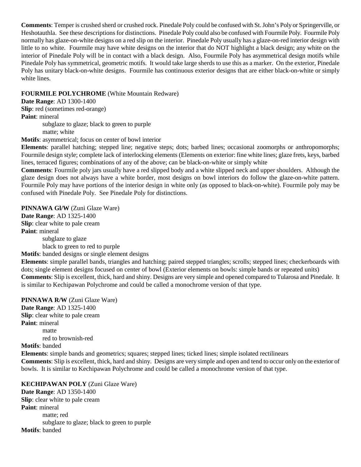**Comments**: Temper is crushed sherd or crushed rock. Pinedale Poly could be confused with St. John's Poly or Springerville, or Heshotauthla. See these descriptions for distinctions. Pinedale Poly could also be confused with Fourmile Poly. Fourmile Poly normally has glaze-on-white designs on a red slip on the interior. Pinedale Poly usually has a glaze-on-red interior design with little to no white. Fourmile may have white designs on the interior that do NOT highlight a black design; any white on the interior of Pinedale Poly will be in contact with a black design. Also, Fourmile Poly has asymmetrical design motifs while Pinedale Poly has symmetrical, geometric motifs. It would take large sherds to use this as a marker. On the exterior, Pinedale Poly has unitary black-on-white designs. Fourmile has continuous exterior designs that are either black-on-white or simply white lines.

#### **FOURMILE POLYCHROME** (White Mountain Redware)

**Date Range**: AD 1300-1400 **Slip**: red (sometimes red-orange) **Paint**: mineral subglaze to glaze; black to green to purple matte; white

**Motifs**: asymmetrical; focus on center of bowl interior

**Elements**: parallel hatching; stepped line; negative steps; dots; barbed lines; occasional zoomorphs or anthropomorphs; Fourmile design style; complete lack of interlocking elements (Elements on exterior: fine white lines; glaze frets, keys, barbed lines, terraced figures; combinations of any of the above; can be black-on-white or simply white

**Comments**: Fourmile poly jars usually have a red slipped body and a white slipped neck and upper shoulders. Although the glaze design does not always have a white border, most designs on bowl interiors do follow the glaze-on-white pattern. Fourmile Poly may have portions of the interior design in white only (as opposed to black-on-white). Fourmile poly may be confused with Pinedale Poly. See Pinedale Poly for distinctions.

**PINNAWA Gl/W** (Zuni Glaze Ware)

**Date Range**: AD 1325-1400 **Slip**: clear white to pale cream **Paint**: mineral

subglaze to glaze black to green to red to purple

**Motifs**: banded designs or single element designs

**Elements**: simple parallel bands, triangles and hatching; paired stepped triangles; scrolls; stepped lines; checkerboards with dots; single element designs focused on center of bowl (Exterior elements on bowls: simple bands or repeated units) **Comments**: Slip is excellent, thick, hard and shiny. Designs are very simple and opened compared to Tularosa and Pinedale. It is similar to Kechipawan Polychrome and could be called a monochrome version of that type.

**PINNAWA R/W** (Zuni Glaze Ware) **Date Range**: AD 1325-1400 **Slip**: clear white to pale cream **Paint**: mineral matte red to brownish-red **Motifs**: banded **Elements**: simple bands and geometrics; squares; stepped lines; ticked lines; simple isolated rectilinears **Comments**: Slip is excellent, thick, hard and shiny. Designs are very simple and open and tend to occur only on the exterior of bowls. It is similar to Kechipawan Polychrome and could be called a monochrome version of that type.

**KECHIPAWAN POLY** (Zuni Glaze Ware) **Date Range**: AD 1350-1400 **Slip**: clear white to pale cream **Paint**: mineral matte; red subglaze to glaze; black to green to purple **Motifs**: banded